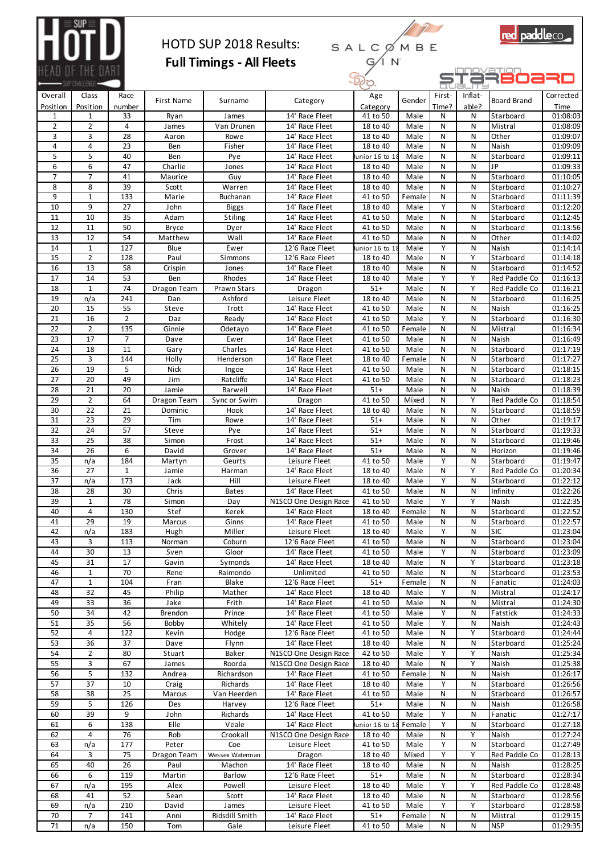

## HOTD SUP 2018 Results: **Full Timings - All Fleets**





|                       | $-$ SUP CHALLENG $-$     |                     |                    |                        |                                         | .ب⊘∟~                     |                | ᆖᅚ         | Jalims     |                            |                      |
|-----------------------|--------------------------|---------------------|--------------------|------------------------|-----------------------------------------|---------------------------|----------------|------------|------------|----------------------------|----------------------|
| Overall               | Class                    | Race                | First Name         | Surname                | Category                                | Age                       | Gender         | First-     | Inflat-    | Board Brand                | Corrected            |
| Position<br>1         | Position<br>$\mathbf{1}$ | number<br>33        | Ryan               | James                  | 14' Race Fleet                          | Category<br>41 to 50      | Male           | Time?<br>N | able?<br>N | Starboard                  | Time<br>01:08:03     |
| $\overline{2}$        | $\overline{2}$           | $\overline{4}$      | James              | Van Drunen             | 14' Race Fleet                          | 18 to 40                  | Male           | N          | N          | Mistral                    | 01:08:09             |
| 3                     | 3                        | 28                  | Aaron              | Rowe                   | 14' Race Fleet                          | 18 to 40                  | Male           | N          | N          | Other                      | 01:09:07             |
| 4                     | $\overline{4}$           | $\overline{23}$     | Ben                | Fisher                 | 14' Race Fleet                          | 18 to 40                  | Male           | N          | N          | Naish                      | 01:09:09             |
| 5                     | 5                        | 40                  | Ben                | Pye                    | 14' Race Fleet                          | unior 16 to 1             | Male           | N          | N          | Starboard                  | 01:09:11             |
| 6                     | 6                        | 47                  | Charlie            | Jones                  | 14' Race Fleet                          | 18 to 40                  | Male           | N          | N          | JP                         | 01:09:33             |
| $\overline{7}$        | $\overline{7}$           | 41                  | Maurice            | Guy                    | $14'$ Race Fleet                        | 18 to 40                  | Male           | N          | N          | Starboard                  | 01:10:05             |
| 8<br>9                | 8<br>$\mathbf{1}$        | 39<br>133           | Scott<br>Marie     | Warren<br>Buchanan     | 14' Race Fleet<br>14' Race Fleet        | 18 to 40<br>41 to 50      | Male           | N<br>N     | N<br>N     | Starboard<br>Starboard     | 01:10:27<br>01:11:39 |
| 10                    | 9                        | 27                  | John               | <b>Biggs</b>           | 14' Race Fleet                          | 18 to 40                  | Female<br>Male | Y          | N          | Starboard                  | 01:12:20             |
| 11                    | 10                       | 35                  | Adam               | Stiling                | 14' Race Fleet                          | 41 to 50                  | Male           | N          | N          | Starboard                  | 01:12:45             |
| 12                    | 11                       | 50                  | <b>Bryce</b>       | Dyer                   | 14' Race Fleet                          | 41 to 50                  | Male           | N          | N          | Starboard                  | 01:13:56             |
| 13                    | 12                       | 54                  | Matthew            | Wall                   | 14' Race Fleet                          | 41 to 50                  | Male           | N          | N          | Other                      | 01:14:02             |
| 14                    | $\mathbf{1}$             | 127                 | Blue               | Ewer                   | 12'6 Race Fleet                         | unior 16 to 1             | Male           | Y          | N          | Naish                      | 01:14:14             |
| 15                    | $\overline{2}$           | 128                 | Paul               | Simmons                | 12'6 Race Fleet                         | 18 to 40                  | Male           | N          | Y          | Starboard                  | 01:14:18             |
| 16                    | 13                       | 58                  | Crispin            | Jones                  | 14' Race Fleet                          | 18 to 40                  | Male           | N          | ${\sf N}$  | Starboard                  | 01:14:52             |
| 17                    | 14<br>$\mathbf{1}$       | 53<br>74            | Ben                | Rhodes                 | 14' Race Fleet                          | 18 to 40<br>$51+$         | Male           | Y          | Y<br>Y     | Red Paddle Co              | 01:16:13             |
| 18<br>19              | n/a                      | 241                 | Dragon Team<br>Dan | Prawn Stars<br>Ashford | Dragon<br>Leisure Fleet                 | 18 to 40                  | Male<br>Male   | N<br>N     | N          | Red Paddle Co<br>Starboard | 01:16:21<br>01:16:25 |
| 20                    | 15                       | 55                  | Steve              | Trott                  | 14' Race Fleet                          | 41 to 50                  | Male           | N          | N          | Naish                      | 01:16:25             |
| 21                    | 16                       | $\overline{2}$      | Daz                | Ready                  | 14' Race Fleet                          | 41 to 50                  | Male           | Y          | ${\sf N}$  | Starboard                  | 01:16:30             |
| 22                    | $\overline{2}$           | 135                 | Ginnie             | Odetayo                | 14' Race Fleet                          | 41 to 50                  | Female         | N          | N          | Mistral                    | 01:16:34             |
| 23                    | 17                       | 7                   | Dave               | Ewer                   | 14' Race Fleet                          | 41 to 50                  | Male           | N          | N          | Naish                      | 01:16:49             |
| 24                    | 18                       | 11                  | Gary               | Charles                | 14' Race Fleet                          | 41 to 50                  | Male           | N          | N          | Starboard                  | 01:17:19             |
| 25                    | 3                        | 144                 | Holly              | Henderson              | 14' Race Fleet                          | 18 to 40                  | Female         | N          | N          | Starboard                  | 01:17:27             |
| 26                    | 19<br>20                 | 5<br>49             | <b>Nick</b>        | Ingoe<br>Ratcliffe     | 14' Race Fleet                          | 41 to 50                  | Male           | N<br>N     | N<br>N     | Starboard                  | 01:18:15             |
| 27<br>28              | 21                       | 20                  | Jim<br>Jamie       | Barwell                | 14' Race Fleet<br>14' Race Fleet        | 41 to 50<br>$51+$         | Male<br>Male   | N          | N          | Starboard<br>Naish         | 01:18:23<br>01:18:39 |
| 29                    | $\overline{2}$           | 64                  | Dragon Team        | Sync or Swim           | Dragon                                  | 41 to 50                  | Mixed          | N          | Y          | Red Paddle Co              | 01:18:54             |
| 30                    | 22                       | 21                  | Dominic            | Hook                   | 14' Race Fleet                          | 18 to 40                  | Male           | N          | N          | Starboard                  | 01:18:59             |
| 31                    | 23                       | 29                  | Tim                | Rowe                   | $14'$ Race Fleet                        | $51+$                     | Male           | N          | N          | Other                      | 01:19:17             |
| 32                    | 24                       | 57                  | Steve              | Pye                    | 14' Race Fleet                          | $51+$                     | Male           | N          | N          | Starboard                  | 01:19:33             |
| 33                    | 25                       | 38                  | Simon              | Frost                  | 14' Race Fleet                          | $51+$                     | Male           | N          | N          | Starboard                  | 01:19:46             |
| 34                    | 26                       | 6                   | David              | Grover                 | 14' Race Fleet                          | $51+$                     | Male           | N          | N          | Horizon                    | 01:19:46             |
| $\overline{35}$       | n/a                      | 184                 | Martyn             | Geurts                 | Leisure Fleet                           | 41 to 50                  | Male           | Y          | N<br>Y     | Starboard                  | 01:19:47             |
| 36<br>$\overline{37}$ | 27<br>n/a                | $\mathbf{1}$<br>173 | Jamie<br>Jack      | Harman<br>Hill         | 14' Race Fleet<br>Leisure Fleet         | 18 to 40<br>18 to 40      | Male<br>Male   | N<br>Y     | ${\sf N}$  | Red Paddle Co<br>Starboard | 01:20:34<br>01:22:12 |
| 38                    | 28                       | 30                  | Chris              | Bates                  | 14' Race Fleet                          | 41 to 50                  | Male           | N          | N          | Infinity                   | 01:22:26             |
| 39                    | $\mathbf{1}$             | 78                  | Simon              | Day                    | N1SCO One Design Race                   | 41 to 50                  | Male           | Y          | Y          | Naish                      | 01:22:35             |
| 40                    | 4                        | 130                 | Stef               | Kerek                  | 14' Race Fleet                          | 18 to 40                  | Female         | N          | N          | Starboard                  | 01:22:52             |
| 41                    | 29                       | 19                  | Marcus             | Ginns                  | 14' Race Fleet                          | 41 to 50                  | Male           | N          | N          | Starboard                  | 01:22:57             |
| 42                    | n/a                      | 183                 | Hugh               | Miller                 | Leisure Fleet                           | 18 to 40                  | Male           | Y          | N          | SIC                        | 01:23:04             |
| 43                    | 3                        | 113                 | Norman             | Coburn                 | 12'6 Race Fleet                         | 41 to 50                  | Male           | N          | N          | Starboard                  | 01:23:04             |
| 44<br>45              | 30<br>31                 | 13<br>17            | Sven<br>Gavin      | Gloor<br>Symonds       | 14' Race Fleet<br>14' Race Fleet        | 41 to 50<br>18 to 40      | Male<br>Male   | Υ<br>N     | N<br>Υ     | Starboard<br>Starboard     | 01:23:09<br>01:23:18 |
| 46                    | $\mathbf{1}$             | 70                  | Rene               | Raimondo               | Unlimited                               | 41 to 50                  | Male           | N          | N          | Starboard                  | 01:23:53             |
| 47                    | $\mathbf{1}$             | 104                 | Fran               | Blake                  | 12'6 Race Fleet                         | $51+$                     | Female         | N          | N          | Fanatic                    | 01:24:03             |
| 48                    | 32                       | 45                  | Philip             | Mather                 | 14' Race Fleet                          | 18 to 40                  | Male           | Y          | Ν          | Mistral                    | 01:24:17             |
| 49                    | 33                       | 36                  | Jake               | Frith                  | 14' Race Fleet                          | 41 to 50                  | Male           | N          | N          | Mistral                    | 01:24:30             |
| 50                    | 34                       | 42                  | Brendon            | Prince                 | 14' Race Fleet                          | 41 to 50                  | Male           | Υ          | N          | Fatstick                   | 01:24:33             |
| 51                    | 35                       | 56                  | Bobby              | Whitely                | 14' Race Fleet                          | 41 to 50                  | Male           | Υ          | Ν          | Naish                      | 01:24:43             |
| 52<br>53              | 4<br>36                  | 122<br>37           | Kevin              | Hodge                  | 12'6 Race Fleet<br>14' Race Fleet       | 41 to 50<br>18 to 40      | Male           | N          | Υ          | Starboard<br>Starboard     | 01:24:44<br>01:25:24 |
| 54                    | $\overline{2}$           | 80                  | Dave<br>Stuart     | Flynn<br>Baker         | N1SCO One Design Race                   | 42 to 50                  | Male<br>Male   | N<br>Υ     | Ν<br>Υ     | Naish                      | 01:25:34             |
| 55                    | 3                        | 67                  | James              | Roorda                 | N1SCO One Design Race                   | 18 to 40                  | Male           | N          | Υ          | Naish                      | 01:25:38             |
| 56                    | 5                        | 132                 | Andrea             | Richardson             | 14' Race Fleet                          | 41 to 50                  | Female         | N          | N          | Naish                      | 01:26:17             |
| 57                    | 37                       | 10                  | Craig              | Richards               | 14' Race Fleet                          | 18 to 40                  | Male           | Υ          | Ν          | Starboard                  | 01:26:56             |
| 58                    | 38                       | 25                  | Marcus             | Van Heerden            | 14' Race Fleet                          | 41 to 50                  | Male           | N          | Ν          | Starboard                  | 01:26:57             |
| 59                    | 5                        | 126                 | Des                | Harvey                 | 12'6 Race Fleet                         | $51+$                     | Male           | N          | N          | Naish                      | 01:26:58             |
| 60                    | 39                       | 9                   | John               | Richards               | 14' Race Fleet                          | 41 to 50                  | Male           | Υ          | Ν          | Fanatic                    | 01:27:17             |
| 61<br>62              | 6<br>4                   | 138<br>76           | Elle               | Veale                  | 14' Race Fleet<br>N1SCO One Design Race | unior 16 to 1<br>18 to 40 | Female         | Υ<br>N     | N<br>Υ     | Starboard                  | 01:27:18<br>01:27:24 |
| 63                    | n/a                      | 177                 | Rob<br>Peter       | Crookall<br>Coe        | Leisure Fleet                           | 41 to 50                  | Male<br>Male   | Υ          | N          | Naish<br>Starboard         | 01:27:49             |
| 64                    | 3                        | 75                  | Dragon Team        | Wessex Waterman        | Dragon                                  | 18 to 40                  | Mixed          | Υ          | Υ          | Red Paddle Co              | 01:28:13             |
| 65                    | 40                       | 26                  | Paul               | Machon                 | 14' Race Fleet                          | 18 to 40                  | Male           | N          | N          | Naish                      | 01:28:25             |
| 66                    | 6                        | 119                 | Martin             | Barlow                 | 12'6 Race Fleet                         | $51+$                     | Male           | N          | Ν          | Starboard                  | 01:28:34             |
| 67                    | n/a                      | 195                 | Alex               | Powell                 | Leisure Fleet                           | 18 to 40                  | Male           | Υ          | Υ          | Red Paddle Co              | 01:28:48             |
| 68                    | 41                       | 52                  | Sean               | Scott                  | 14' Race Fleet                          | 18 to 40                  | Male           | N          | N          | Starboard                  | 01:28:56             |
| 69                    | n/a                      | 210                 | David              | James                  | Leisure Fleet                           | 41 to 50                  | Male           | Υ          | Υ          | Starboard                  | 01:28:58             |
| 70<br>71              | $\overline{7}$<br>n/a    | 141<br>150          | Anni<br>Tom        | Ridsdill Smith<br>Gale | 14' Race Fleet<br>Leisure Fleet         | $51+$<br>41 to 50         | Female<br>Male | N<br>N     | N<br>N     | Mistral<br><b>NSP</b>      | 01:29:15<br>01:29:35 |
|                       |                          |                     |                    |                        |                                         |                           |                |            |            |                            |                      |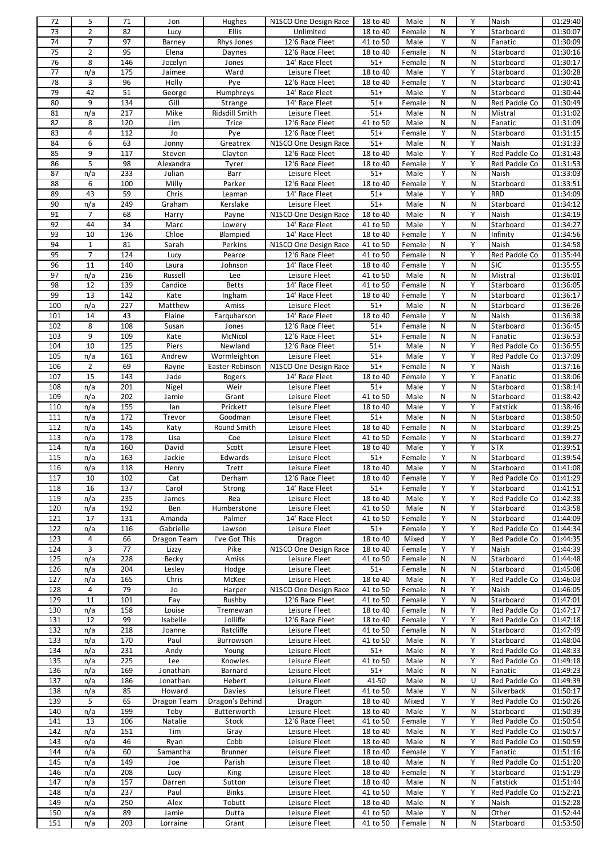| 72              | 5              | 71         | Jon               | Hughes                  | N1SCO One Design Race            | 18 to 40             | Male            | N              | Y              | Naish                      | 01:29:40                         |
|-----------------|----------------|------------|-------------------|-------------------------|----------------------------------|----------------------|-----------------|----------------|----------------|----------------------------|----------------------------------|
| 73              | $\overline{2}$ | 82         | Lucy              | Ellis                   | Unlimited                        | 18 to 40             | Female          | N              | Y              | Starboard                  | 01:30:07                         |
| 74              | 7              | 97         | Barney            | Rhys Jones              | 12'6 Race Fleet                  | 41 to 50             | Male            | Υ              | N              | Fanatic                    | 01:30:09                         |
| $\overline{75}$ | $\overline{2}$ | 95         | Elena             | Daynes                  | 12'6 Race Fleet                  | 18 to 40             | Female          | N              | N              | Starboard                  | 01:30:16                         |
| 76              | 8              | 146        | Jocelyn           | Jones                   | 14' Race Fleet                   | $51+$                | Female          | N              | N              | Starboard                  | 01:30:17                         |
| 77              | n/a            | 175        | Jaimee            | Ward                    | Leisure Fleet                    | 18 to 40             | Male            | Υ              | Υ              | Starboard                  | 01:30:28                         |
| 78              | 3              | 96         | Holly             | Pye                     | 12'6 Race Fleet                  | 18 to 40             | Female          | Y              | ${\sf N}$      | Starboard                  | 01:30:41                         |
| 79              | 42             | 51         | George            | Humphreys               | 14' Race Fleet                   | $51+$                | Male            | Y              | N              | Starboard                  | 01:30:44                         |
| 80              | 9              | 134        | Gill              | Strange                 | 14' Race Fleet                   | $51+$                | Female          | N              | N              | Red Paddle Co              | 01:30:49                         |
| 81              | n/a            | 217        | Mike              | Ridsdill Smith          | Leisure Fleet                    | $51+$                | Male            | N              | ${\sf N}$      | Mistral                    | 01:31:02                         |
| 82              | 8              | 120        | Jim               | Trice                   | 12'6 Race Fleet                  | 41 to 50             | Male            | ${\sf N}$      | N              | Fanatic                    | 01:31:09                         |
| 83              | 4              | 112        | Jo                | Pye                     | 12'6 Race Fleet                  | $51+$                | Female          | Υ              | N              | Starboard                  | 01:31:15                         |
| 84              | 6              | 63         | Jonny             | Greatrex                | N1SCO One Design Race            | $51+$                | Male            | N              | Y              | Naish                      | 01:31:33                         |
| 85              | 9              | 117        | Steven            |                         | 12'6 Race Fleet                  | 18 to 40             | Male            | Υ              | Υ              | Red Paddle Co              | 01:31:43                         |
| 86              | 5              | 98         | Alexandra         | Clayton                 | 12'6 Race Fleet                  | 18 to 40             | Female          | Υ              | Υ              | Red Paddle Co              | 01:31:53                         |
| 87              |                | 233        |                   | Tyrer                   |                                  | $51+$                |                 | Y              | ${\sf N}$      |                            |                                  |
|                 | n/a            |            | Julian            | Barr                    | Leisure Fleet                    |                      | Male            |                |                | Naish                      | 01:33:03                         |
| 88              | 6              | 100        | Milly             | Parker                  | 12'6 Race Fleet                  | 18 to 40             | Female          | Υ              | N              | Starboard                  | 01:33:51                         |
| 89              | 43             | 59         | Chris             | Leaman                  | 14' Race Fleet                   | $51+$                | Male            | Υ              | Υ              | <b>RRD</b>                 | 01:34:09                         |
| 90              | n/a            | 249        | Graham            | Kerslake                | Leisure Fleet                    | $51+$                | Male            | N              | ${\sf N}$      | Starboard                  | 01:34:12                         |
| 91              | 7              | 68         | Harry             | Payne                   | N1SCO One Design Race            | 18 to 40             | Male            | ${\sf N}$      | Υ              | Naish                      | 01:34:19                         |
| 92              | 44             | 34         | Marc              | Lowery                  | 14' Race Fleet                   | 41 to 50             | Male            | Υ              | N              | Starboard                  | 01:34:27                         |
| 93              | 10             | 136        | Chloe             | Blampied                | 14' Race Fleet                   | 18 to 40             | Female          | Y              | ${\sf N}$      | Infinity                   | 01:34:56                         |
| 94              | $\mathbf{1}$   | 81         | Sarah             | Perkins                 | N1SCO One Design Race            | 41 to 50             | Female          | ${\sf N}$      | Υ              | Naish                      | 01:34:58                         |
| 95              | 7              | 124        | Lucy              | Pearce                  | 12'6 Race Fleet                  | 41 to 50             | Female          | N              | Υ              | Red Paddle Co              | 01:35:44                         |
| 96              | 11             | 140        | Laura             | Johnson                 | 14' Race Fleet                   | 18 to 40             | Female          | Y              | ${\sf N}$      | <b>SIC</b>                 | 01:35:55                         |
| 97              | n/a            | 216        | Russell           | Lee                     | Leisure Fleet                    | 41 to 50             | Male            | ${\sf N}$      | N              | Mistral                    | 01:36:01                         |
| 98              | 12             | 139        | Candice           | <b>Betts</b>            | 14' Race Fleet                   | 41 to 50             | Female          | N              | Υ              | Starboard                  | 01:36:05                         |
| 99              | 13             | 142        | Kate              | Ingham                  | 14' Race Fleet                   | 18 to 40             | Female          | Y              | ${\sf N}$      | Starboard                  | 01:36:17                         |
| 100             | n/a            | 227        | Matthew           | Amiss                   | Leisure Fleet                    | $51+$                | Male            | N              | N              | Starboard                  | 01:36:26                         |
| 101             | 14             | 43         | Elaine            | Farquharson             | 14' Race Fleet                   | 18 to 40             | Female          | Υ              | N              | Naish                      | 01:36:38                         |
| 102             | 8              | 108        | Susan             | Jones                   | 12'6 Race Fleet                  | $51+$                | Female          | N              | ${\sf N}$      | Starboard                  | 01:36:45                         |
| 103             | 9              | 109        | Kate              | McNicol                 | 12'6 Race Fleet                  | $51+$                | Female          | ${\sf N}$      | ${\sf N}$      | Fanatic                    | 01:36:53                         |
| 104             | 10             | 125        | Piers             | Newland                 | 12'6 Race Fleet                  | $51+$                | Male            | N              | Υ              | Red Paddle Co              | 01:36:55                         |
| 105             | n/a            | 161        | Andrew            | Wormleighton            | Leisure Fleet                    | $51+$                | Male            | Y              | Y              | Red Paddle Co              | 01:37:09                         |
| 106             | $\overline{2}$ | 69         | Rayne             | Easter-Robinson         | N1SCO One Design Race            | $51+$                | Female          | N              | Υ              | Naish                      | 01:37:16                         |
| 107             | 15             | 143        | Jade              | Rogers                  | 14' Race Fleet                   | 18 to 40             | Female          | Υ              | Υ              | Fanatic                    | 01:38:06                         |
| 108             | n/a            | 201        | Nigel             | Weir                    | Leisure Fleet                    | $51+$                | Male            | Y              | ${\sf N}$      | Starboard                  | 01:38:14                         |
| 109             | n/a            | 202        | Jamie             | Grant                   | Leisure Fleet                    | 41 to 50             | Male            | N              | N              | Starboard                  | 01:38:42                         |
| 110             | n/a            | 155        | lan               | Prickett                | Leisure Fleet                    | 18 to 40             | Male            | Υ              | Υ              | Fatstick                   | 01:38:46                         |
| 111             | n/a            | 172        | Trevor            | Goodman                 | Leisure Fleet                    | $51+$                | Male            | N              | ${\sf N}$      | Starboard                  | 01:38:50                         |
| 112             | n/a            |            |                   |                         |                                  |                      |                 |                |                |                            |                                  |
|                 |                | 145        | Katy              | Round Smith             | Leisure Fleet                    | 18 to 40             | Female          | N              | N              | Starboard                  | 01:39:25                         |
| 113             | n/a            | 178        | Lisa              | Coe                     | Leisure Fleet                    | 41 to 50             | Female          | Υ              | N              | Starboard                  | 01:39:27                         |
| 114             | n/a            | 160        | David             | Scott                   | Leisure Fleet                    | 18 to 40             | Male            | Y              | Y              | <b>STX</b>                 | 01:39:51                         |
| 115             |                | 163        |                   |                         |                                  |                      | Female          | Υ              | N              |                            |                                  |
|                 | n/a            |            | Jackie            | Edwards                 | Leisure Fleet                    | $51+$                |                 | Y              | N              | Starboard                  | 01:39:54                         |
| 116<br>117      | n/a<br>10      | 118<br>102 | Henry<br>Cat      | Trett<br>Derham         | Leisure Fleet<br>12'6 Race Fleet | 18 to 40<br>18 to 40 | Male<br>Female  | Υ              | Υ              | Starboard<br>Red Paddle Co | 01:41:08<br>01:41:29             |
|                 |                |            |                   |                         |                                  |                      | Female          | Υ              | Υ              |                            | 01:41:51                         |
| 118             | 16             | 137        | Carol             | Strong                  | 14' Race Fleet                   | $51+$                |                 |                |                | Starboard                  |                                  |
| 119             | n/a            | 235        | James             | Rea                     | Leisure Fleet                    | 18 to 40             | Male            | Υ              | Υ              | Red Paddle Co              | 01:42:38                         |
| 120             | n/a            | 192        | Ben               | Humberstone             | Leisure Fleet                    | 41 to 50             | Male            | N              | Υ              | Starboard                  | 01:43:58                         |
| 121             | 17             | 131        | Amanda            | Palmer                  | 14' Race Fleet                   | 41 to 50             | Female          | Υ<br>Υ         | ${\sf N}$<br>Υ | Starboard<br>Red Paddle Co | 01:44:09                         |
| 122<br>123      | n/a<br>4       | 116<br>66  | Gabrielle         | Lawson<br>I've Got This | Leisure Fleet                    | $51+$<br>18 to 40    | Female<br>Mixed | Υ              | Υ              | Red Paddle Co              | 01:44:34<br>01:44:35             |
|                 |                |            | Dragon Team       |                         | Dragon                           |                      |                 |                |                |                            |                                  |
| 124             | 3              | 77         | Lizzy             | Pike                    | N1SCO One Design Race            | 18 to 40             | Female          | Υ              | Υ              | Naish                      | 01:44:39                         |
| 125             | n/a            | 228        | Becky             | Amiss                   | Leisure Fleet                    | 41 to 50             | Female          | N              | N              | Starboard                  | 01:44:48                         |
| 126             | n/a            | 204        | Lesley            | Hodge                   | Leisure Fleet                    | $51+$                | Female          | N              | N              | Starboard                  | 01:45:08                         |
| 127             | n/a            | 165        | Chris             | McKee                   | Leisure Fleet                    | 18 to 40             | Male            | N              | Υ              | Red Paddle Co              | 01:46:03                         |
| 128             | 4              | 79         | Jo                | Harper                  | N1SCO One Design Race            | 41 to 50             | Female          | N              | Υ              | Naish                      | 01:46:05                         |
| 129             | 11             | 101        | Fay               | Rushby                  | 12'6 Race Fleet                  | 41 to 50             | Female          | Y              | N              | Starboard                  | 01:47:01                         |
| 130             | n/a            | 158        | Louise            | Tremewan                | Leisure Fleet                    | 18 to 40             | Female          | N              | Υ              | Red Paddle Co              | 01:47:17                         |
| 131             | 12             | 99         | Isabelle          | Jolliffe                | 12'6 Race Fleet                  | 18 to 40             | Female          | Υ              | Υ              | Red Paddle Co              | 01:47:18                         |
| 132             | n/a            | 218        | Joanne            | Ratcliffe               | Leisure Fleet                    | 41 to 50             | Female          | N              | N              | Starboard                  | 01:47:49                         |
| 133             | n/a            | 170        | Paul              | Burrowson               | Leisure Fleet                    | 41 to 50             | Male            | N              | Υ              | Starboard                  | 01:48:04                         |
| 134             | n/a            | 231        | Andy              | Young                   | Leisure Fleet                    | $51+$                | Male            | N              | Υ              | Red Paddle Co              | 01:48:33                         |
| 135             | n/a            | 225        | Lee               | Knowles                 | Leisure Fleet                    | 41 to 50             | Male            | N              | Υ              | Red Paddle Co              | 01:49:18                         |
| 136             | n/a            | 169        | Jonathan          | Barnard                 | Leisure Fleet                    | $51+$                | Male            | N              | ${\sf N}$      | Fanatic                    | 01:49:23                         |
| 137             | n/a            | 186        | Jonathan          | Hebert                  | Leisure Fleet                    | 41-50                | Male            | N              | U              | Red Paddle Co              | 01:49:39                         |
| 138             | n/a            | 85         | Howard            | Davies                  | Leisure Fleet                    | 41 to 50             | Male            | Υ              | N              | Silverback                 | 01:50:17                         |
| 139             | 5              | 65         | Dragon Team       | Dragon's Behind         | Dragon                           | 18 to 40             | Mixed           | Υ              | Υ              | Red Paddle Co              | 01:50:26                         |
| 140             | n/a            | 199        | Toby              | Butterworth             | Leisure Fleet                    | 18 to 40             | Male            | Υ              | N              | Starboard                  | 01:50:39                         |
| 141             | 13             | 106        | Natalie           | Stock                   | 12'6 Race Fleet                  | 41 to 50             | Female          | Υ              | Υ              | Red Paddle Co              | 01:50:54                         |
| 142             | n/a            | 151        | Tim               | Gray                    | Leisure Fleet                    | 18 to 40             | Male            | N              | Υ              | Red Paddle Co              | 01:50:57                         |
| 143             | n/a            | 46         | Ryan              | Cobb                    | Leisure Fleet                    | 18 to 40             | Male            | N              | Υ              | Red Paddle Co              | 01:50:59                         |
| 144             | n/a            | 60         | Samantha          | Brunner                 | Leisure Fleet                    | 18 to 40             | Female          | Υ              | Υ              | Fanatic                    | 01:51:16                         |
| 145             | n/a            | 149        | Joe               | Parish                  | Leisure Fleet                    | 18 to 40             | Male            | N              | Υ              | Red Paddle Co              | 01:51:20                         |
| 146             | n/a            | 208        | Lucy              | King                    | Leisure Fleet                    | 18 to 40             | Female          | N              | Υ              | Starboard                  | 01:51:29                         |
| 147             | n/a            | 157        | Darren            | Sutton                  | Leisure Fleet                    | 18 to 40             | Male            | Ν              | N              | Fatstick                   | 01:51:44                         |
| 148             | n/a            | 237        | Paul              | Binks                   | Leisure Fleet                    | 41 to 50             | Male            | Υ              | Υ              | Red Paddle Co              | 01:52:21                         |
| 149             | n/a            | 250        | Alex              | Tobutt                  | Leisure Fleet                    | 18 to 40             | Male            | N              | Υ              | Naish                      |                                  |
| 150<br>151      | n/a<br>n/a     | 89<br>203  | Jamie<br>Lorraine | Dutta<br>Grant          | Leisure Fleet<br>Leisure Fleet   | 41 to 50<br>41 to 50 | Male<br>Female  | Υ<br>${\sf N}$ | N<br>N         | Other<br>Starboard         | 01:52:28<br>01:52:44<br>01:53:50 |